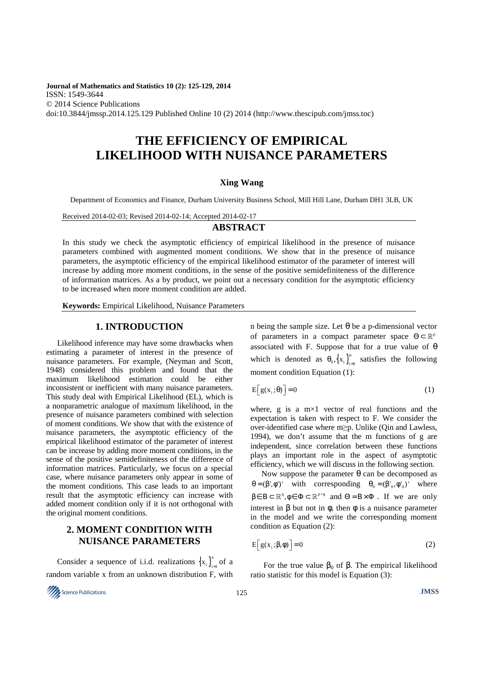**Journal of Mathematics and Statistics 10 (2): 125-129, 2014**  ISSN: 1549-3644 © 2014 Science Publications doi:10.3844/jmssp.2014.125.129 Published Online 10 (2) 2014 (http://www.thescipub.com/jmss.toc)

# **THE EFFICIENCY OF EMPIRICAL LIKELIHOOD WITH NUISANCE PARAMETERS**

# **Xing Wang**

Department of Economics and Finance, Durham University Business School, Mill Hill Lane, Durham DH1 3LB, UK

Received 2014-02-03; Revised 2014-02-14; Accepted 2014-02-17

## **ABSTRACT**

In this study we check the asymptotic efficiency of empirical likelihood in the presence of nuisance parameters combined with augmented moment conditions. We show that in the presence of nuisance parameters, the asymptotic efficiency of the empirical likelihood estimator of the parameter of interest will increase by adding more moment conditions, in the sense of the positive semidefiniteness of the difference of information matrices. As a by product, we point out a necessary condition for the asymptotic efficiency to be increased when more moment condition are added.

**Keywords:** Empirical Likelihood, Nuisance Parameters

# **1. INTRODUCTION**

Likelihood inference may have some drawbacks when estimating a parameter of interest in the presence of nuisance parameters. For example, (Neyman and Scott, 1948) considered this problem and found that the maximum likelihood estimation could be either inconsistent or inefficient with many nuisance parameters. This study deal with Empirical Likelihood (EL), which is a nonparametric analogue of maximum likelihood, in the presence of nuisance parameters combined with selection of moment conditions. We show that with the existence of nuisance parameters, the asymptotic efficiency of the empirical likelihood estimator of the parameter of interest can be increase by adding more moment conditions, in the sense of the positive semidefiniteness of the difference of information matrices. Particularly, we focus on a special case, where nuisance parameters only appear in some of the moment conditions. This case leads to an important result that the asymptotic efficiency can increase with added moment condition only if it is not orthogonal with the original moment conditions.

# **2. MOMENT CONDITION WITH NUISANCE PARAMETERS**

Consider a sequence of i.i.d. realizations  ${x_i}_{i}$  $x_i\big|_{i=1}^{\infty}$  of a random variable x from an unknown distribution F, with



n being the sample size. Let θ be a p-dimensional vector of parameters in a compact parameter space  $\Theta \subset \mathbb{R}^p$ associated with F. Suppose that for a true value of  $\theta$ which is denoted as  $\theta_0$ ,  $\{x_i\}$ <sup>n</sup>  $\theta_0$ ,  $\left\{ x_i \right\}_{i=1}^n$  satisfies the following moment condition Equation (1):

$$
E[g(x_i;\theta)] = 0 \tag{1}
$$

where, g is a  $m \times 1$  vector of real functions and the expectation is taken with respect to F. We consider the over-identified case where m≥p. Unlike (Qin and Lawless, 1994), we don't assume that the m functions of g are independent, since correlation between these functions plays an important role in the aspect of asymptotic efficiency, which we will discuss in the following section.

Now suppose the parameter θ can be decomposed as  $\theta = (\beta', \phi')'$  with corresponding  $\theta_0 = (\beta', \phi')'$  where  $\beta \in B \subset \mathbb{R}^q, \phi \in \Phi \subset \mathbb{R}^{p-q}$  and  $\Theta = B \times \Phi$ . If we are only interest in β but not in φ, then φ is a nuisance parameter in the model and we write the corresponding moment condition as Equation (2):

$$
E[g(x_i;\beta,\phi)] = 0
$$
 (2)

For the true value  $β_0$  of  $β$ . The empirical likelihood ratio statistic for this model is Equation (3):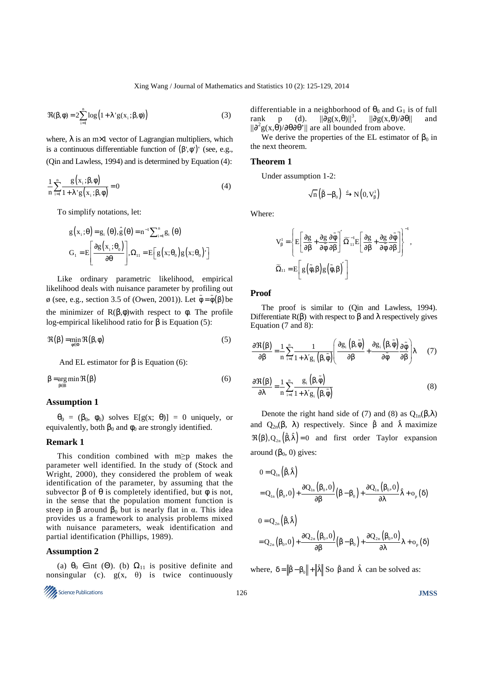$$
\Re(\beta,\phi) = 2\sum_{i=1}^{n} \log(1+\lambda' g(x_i;\beta,\phi))
$$
\n(3)

where,  $\lambda$  is an m $\times$ 1 vector of Lagrangian multipliers, which is a continuous differentiable function of  $(\beta', \phi')'$  (see, e.g., (Qin and Lawless, 1994) and is determined by Equation (4):

$$
\frac{1}{n}\sum_{i=1}^{n}\frac{g(x_i;\beta,\phi)}{1+\lambda'g(x_i;\beta,\phi)}=0
$$
\n(4)

To simplify notations, let:

$$
g(x_i; \theta) = g_i(\theta), \hat{g}(\theta) = n^{-1} \sum_{i=1}^n g_i(\theta)
$$

$$
G_i = E\left[\frac{\partial g(x_i; \theta_0)}{\partial \theta}\right], \Omega_{i1} = E\left[g(x; \theta_0)g(x; \theta_0)'\right]
$$

Like ordinary parametric likelihood, empirical likelihood deals with nuisance parameter by profiling out  $\phi$  (see, e.g., section 3.5 of (Owen, 2001)). Let  $\tilde{\phi} = \tilde{\phi}(\beta)$  be the minimizer of  $R(β, φ)$  with respect to φ. The profile log-empirical likelihood ratio for β is Equation (5):

$$
\Re(\beta) = \min_{\phi \in \Phi} \Re(\beta, \phi) \tag{5}
$$

And EL estimator for  $\beta$  is Equation (6):

$$
\beta = \underset{\beta \in B}{\arg \min} \Re(\beta) \tag{6}
$$

#### **Assumption 1**

 $\theta_0 = (\beta_0, \phi_0)$  solves E[g(x;  $\theta$ )] = 0 uniquely, or equivalently, both  $\beta_0$  and  $\phi_0$  are strongly identified.

## **Remark 1**

This condition combined with m≥p makes the parameter well identified. In the study of (Stock and Wright, 2000), they considered the problem of weak identification of the parameter, by assuming that the subvector  $\beta$  of  $\theta$  is completely identified, but  $\phi$  is not, in the sense that the population moment function is steep in  $\beta$  around  $\beta_0$  but is nearly flat in  $\alpha$ . This idea provides us a framework to analysis problems mixed with nuisance parameters, weak identification and partial identification (Phillips, 1989).

# **Assumption 2**

(a)  $\theta_0 \in \text{int}(\Theta)$ . (b)  $\Omega_{11}$  is positive definite and nonsingular (c).  $g(x, \theta)$  is twice continuously



differentiable in a neighborhood of  $\theta_0$  and  $G_1$  is of full rank p (d).  $||\partial g(x,\theta)||^3$ .  $||\partial g(x,\theta)/\partial \theta||$  and rank p (d).  $\|\overline{\partial}g(x,\theta)\|^3$ ,  $\|\overline{\partial}g(x,\theta)/\overline{\partial}\theta\|$  and  $\|\partial^2 g(x,\theta)/\partial\theta\partial\theta'\|$  are all bounded from above.

We derive the properties of the EL estimator of  $\beta_0$  in the next theorem.

#### **Theorem 1**

Under assumption 1-2:

$$
\sqrt{n}\left(\tilde{\beta}-\beta_0\right)\stackrel{d}{\longrightarrow} N\left(0,V^1_{\beta}\right)
$$

Where:

$$
\begin{split} & V^1_\beta = \left\{ E \Bigg[ \frac{\partial g}{\partial \beta} + \frac{\partial g}{\partial \tilde{\varphi}} \frac{\partial \tilde{\varphi}}{\partial \beta} \Bigg] \widetilde{\Omega}_{11}^{-1} E \Bigg[ \frac{\partial g}{\partial \beta} + \frac{\partial g}{\partial \tilde{\varphi}} \frac{\partial \tilde{\varphi}}{\partial \beta} \Bigg] \right\}^{-1}, \\ & \widetilde{\Omega}_{11} = E \Bigg[ \, g \Big( \tilde{\varphi}, \beta \Big) g \Big( \tilde{\varphi}, \beta \Big)' \, \Bigg] \end{split}
$$

#### **Proof**

The proof is similar to (Qin and Lawless, 1994). Differentiate  $R(\beta)$  with respect to  $\beta$  and  $\lambda$  respectively gives Equation (7 and 8):

$$
\frac{\partial \Re(\beta)}{\partial \beta} = \frac{1}{n} \sum_{i=1}^{n} \frac{1}{1 + \lambda' g_i(\beta, \tilde{\phi})} \left( \frac{\partial g_i(\beta, \tilde{\phi})}{\partial \beta} + \frac{\partial g_i(\beta, \tilde{\phi})}{\partial \tilde{\phi}} \frac{\partial \tilde{\phi}}{\partial \beta} \right) \lambda \tag{7}
$$

$$
\frac{\partial \Re(\beta)}{\partial \lambda} = \frac{1}{n} \sum_{i=1}^{n} \frac{g_i(\beta, \tilde{\phi})}{1 + \lambda' g_i(\beta, \tilde{\phi})}
$$
(8)

Denote the right hand side of (7) and (8) as  $Q_{1n}(\beta,\lambda)$ and  $Q_{2n}(\beta, \lambda)$  respectively. Since  $\hat{\beta}$  and  $\hat{\lambda}$  maximize  $\Re(\beta), Q_{2n}(\hat{\beta}, \hat{\lambda}) = 0$  and first order Taylor expansion around  $(β<sub>0</sub>, 0)$  gives:

$$
\begin{aligned} 0&=Q_{1n}\left(\hat{\beta},\hat{\lambda}\right)\\ &=Q_{1n}\left(\beta_{0},0\right)+\frac{\partial Q_{1n}\left(\beta_{0},0\right)}{\partial\beta}\Big(\tilde{\beta}-\beta_{0}\Big)+\frac{\partial Q_{1n}\left(\beta_{0},0\right)}{\partial\lambda}\hat{\lambda}+o_{p}\left(\delta\right)\\ 0&=Q_{2n}\left(\hat{\beta},\hat{\lambda}\right)\\ &=Q_{2n}\left(\beta_{0},0\right)+\frac{\partial Q_{2n}\left(\beta_{0},0\right)}{\partial\beta}\Big(\tilde{\beta}-\beta_{0}\Big)+\frac{\partial Q_{2n}\left(\beta_{0},0\right)}{\partial\lambda}\lambda+o_{p}\left(\delta\right)\\ \end{aligned}
$$

where,  $\delta = ||\tilde{\beta} - \beta_0|| + ||\hat{\lambda}||$  So  $\tilde{\beta}$  and  $\hat{\lambda}$  can be solved as: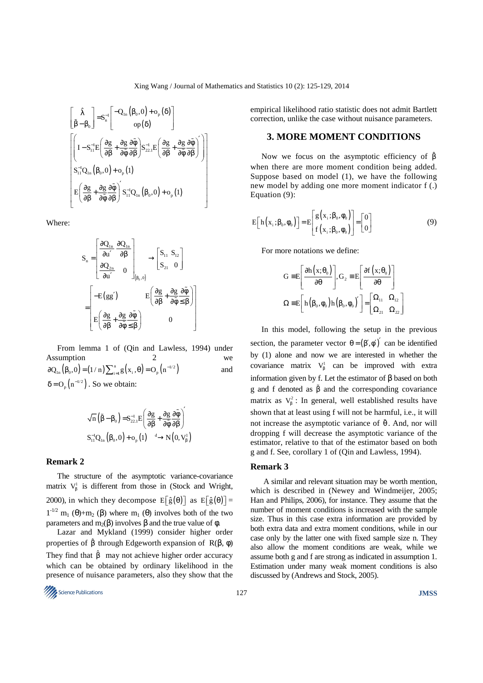$$
\begin{bmatrix}\n\hat{\lambda} \\
\hat{\beta} - \beta_0\n\end{bmatrix} = S_n^{-1} \begin{bmatrix}\n-Q_{1n} (\beta_0, 0) + o_p (\delta) \\
o_p (\delta)\n\end{bmatrix}
$$
\n
$$
\begin{bmatrix}\nI - S_{11}^{-1} E \left( \frac{\partial g}{\partial \beta} + \frac{\partial g}{\partial \hat{\phi}} \frac{\partial \hat{\phi}}{\partial \beta} \right) S_{22,1}^{-1} E \left( \frac{\partial g}{\partial \beta} + \frac{\partial g}{\partial \hat{\phi}} \frac{\partial \hat{\phi}}{\partial \beta} \right) \\
S_{11}^{-1} Q_{1n} (\beta_0, 0) + o_p (1)\n\end{bmatrix}
$$
\n
$$
E \left( \frac{\partial g}{\partial \beta} + \frac{\partial g}{\partial \hat{\phi}} \frac{\partial \hat{\phi}}{\partial \beta} \right)' S_{11}^{-1} Q_{1n} (\beta_0, 0) + o_p (1)
$$

Where:

$$
S_{n} = \begin{bmatrix} \frac{\partial Q_{1n}}{\partial u'} & \frac{\partial Q_{1n}}{\partial \beta} \\ \frac{\partial Q_{2n}}{\partial u'} & 0 \end{bmatrix}_{(\beta_{0},0)} \longrightarrow \begin{bmatrix} S_{11} & S_{12} \\ S_{21} & 0 \end{bmatrix}
$$

$$
= \begin{bmatrix} -E(gg') & E\left(\frac{\partial g}{\partial \beta} + \frac{\partial g}{\partial \phi} \frac{\partial \tilde{\phi}}{\beta}\right) \\ E\left(\frac{\partial g}{\partial \beta} + \frac{\partial g}{\partial \phi} \frac{\partial \tilde{\phi}}{\beta}\right) & 0 \end{bmatrix}
$$

From lemma 1 of (Qin and Lawless, 1994) under Assumption 2 we  $\partial Q_{1n}(\beta_0, 0) = (1/n) \sum_{i=1}^n g(x_i, \theta) = O_p(n^{-1/2})$  and  $\delta = O_p(n^{-1/2})$ . So we obtain:

( ) ( ) ( ) ( ) 1 0 22.1 1 d 1 11 1n 0 p g g n S E S Q ,0 o 1 N 0,V − − β ′ ∂ ∂ ∂φ β − β = + ∂β ∂β ∂φ β + → ɶ ɶ ɶ

#### **Remark 2**

The structure of the asymptotic variance-covariance matrix  $V_{\beta}^1$  is different from those in (Stock and Wright, 2000), in which they decompose  $E[\hat{g}(\theta)]$  as  $E[\hat{g}(\theta)] =$  $1<sup>-1/2</sup>$  m<sub>1</sub> (θ)+m<sub>2</sub> (β) where m<sub>1</sub> (θ) involves both of the two parameters and m<sub>2</sub>(β) involves β and the true value of φ.

Lazar and Mykland (1999) consider higher order properties of  $\hat{\beta}$  through Edgeworth expansion of R( $\beta$ ,  $\phi$ ) They find that  $\hat{B}$  may not achieve higher order accuracy which can be obtained by ordinary likelihood in the presence of nuisance parameters, also they show that the

Science Publications **JMSS** 

empirical likelihood ratio statistic does not admit Bartlett correction, unlike the case without nuisance parameters.

# **3. MORE MOMENT CONDITIONS**

Now we focus on the asymptotic efficiency of  $\hat{\beta}$ when there are more moment condition being added. Suppose based on model (1), we have the following new model by adding one more moment indicator f (.) Equation (9):

$$
E\left[h\left(x_{i};\beta_{0},\phi_{0}\right)\right]=E\left[g\left(x_{i};\beta_{0},\phi_{0}\right)\right]=\left[0\atop 0\right]
$$
\n(9)

For more notations we define:

$$
G \equiv E \left[ \frac{\partial h(x; \theta_0)}{\partial \theta} \right], G_2 \equiv E \left[ \frac{\partial f(x; \theta_0)}{\partial \theta} \right]
$$

$$
\Omega \equiv E \left[ h \left( \beta_0, \phi_0 \right) h \left( \beta_0, \phi_0 \right)' \right] = \left[ \Omega_{11} \Omega_{12} \right]
$$

$$
\Omega_{21} \Omega_{22}
$$

In this model, following the setup in the previous section, the parameter vector  $\theta = (\beta', \phi')'$  can be identified by (1) alone and now we are interested in whether the covariance matrix  $V_{\beta}^1$  can be improved with extra information given by f. Let the estimator of β based on both g and f denoted as  $\tilde{\beta}$  and the corresponding covariance matrix as  $V_{\beta}^2$ : In general, well established results have shown that at least using f will not be harmful, i.e., it will not increase the asymptotic variance of  $\tilde{\theta}$ . And, nor will dropping f will decrease the asymptotic variance of the estimator, relative to that of the estimator based on both g and f. See, corollary 1 of (Qin and Lawless, 1994).

#### **Remark 3**

 A similar and relevant situation may be worth mention, which is described in (Newey and Windmeijer, 2005; Han and Philips, 2006), for instance. They assume that the number of moment conditions is increased with the sample size. Thus in this case extra information are provided by both extra data and extra moment conditions, while in our case only by the latter one with fixed sample size n. They also allow the moment conditions are weak, while we assume both g and f are strong as indicated in assumption 1. Estimation under many weak moment conditions is also discussed by (Andrews and Stock, 2005).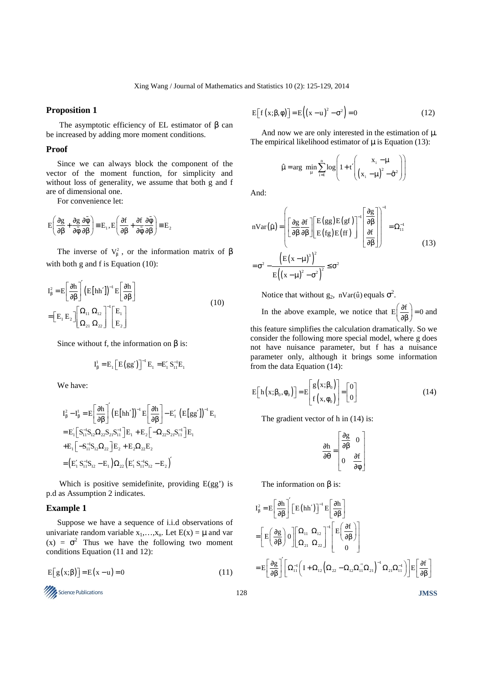# **Proposition 1**

 The asymptotic efficiency of EL estimator of β can be increased by adding more moment conditions.

# **Proof**

Since we can always block the component of the vector of the moment function, for simplicity and without loss of generality, we assume that both g and f are of dimensional one.

For convenience let:

$$
E\Bigg(\frac{\partial g}{\partial \beta}+\frac{\partial g}{\partial \tilde{\varphi}}\frac{\partial \tilde{\varphi}}{\partial \beta}\Bigg)\equiv E_{_1}, E\Bigg(\frac{\partial f}{\partial \beta}+\frac{\partial f}{\partial \tilde{\varphi}}\frac{\partial \tilde{\varphi}}{\partial \beta}\Bigg)\equiv E_{_2}
$$

The inverse of  $V_{\beta}^2$ , or the information matrix of  $\beta$ with both g and f is Equation (10):

$$
I_{\beta}^{2} = E \left[ \frac{\partial h}{\partial \beta} \right]^{2} \left( E \left[ h h' \right] \right)^{-1} E \left[ \frac{\partial h}{\partial \beta} \right]
$$
  
= 
$$
\left[ E_{1} E_{2} \right] \left[ \frac{\Omega_{11} \Omega_{12}}{\Omega_{21} \Omega_{22}} \right]^{-1} \left[ E_{1} \right]
$$
(10)

Since without f, the information on  $\beta$  is:

$$
I_{\beta}^{1} = E_{1} \Big[ E(gg') \Big]^{-1} E_{1} = E'_{1} S_{11}^{-1} E_{1}
$$

We have:

$$
\begin{split} &I_{\beta}^{2}-I_{\beta}^{1}=E\Bigg[\frac{\partial h}{\partial\beta}\Bigg]^{\prime}\Big(E\big[hh'\big]\Big)^{-1}E\Bigg[\frac{\partial h}{\partial\beta}\Bigg]-E_{1}^{\prime}\Big(E\big[gg'\big]\Big)^{-1}E_{1} \\ &=E_{1}\Big[S_{11}^{-1}S_{12}\Omega_{22}S_{21}S_{11}^{-1}\Big]E_{1}+E_{2}\Big[-\Omega_{22}S_{21}S_{11}^{-1}\Big]E_{1} \\ &+E_{1}\Big[-S_{11}^{-1}S_{12}\Omega_{22}\Big]E_{2}+E_{2}\Omega_{22}E_{2} \\ &=\Big(E_{1}^{\prime}\ S_{11}^{-1}S_{12}-E_{1}\Big)\Omega_{22}\Big(E_{1}^{\prime}\ S_{11}^{-1}S_{12}-E_{2}\Big)^{\prime} \end{split}
$$

Which is positive semidefinite, providing  $E(gg')$  is p.d as Assumption 2 indicates.

## **Example 1**

Suppose we have a sequence of i.i.d observations of univariate random variable  $x_1,...,x_n$ . Let  $E(x) = \mu$  and var  $(x) = \sigma^2$  Thus we have the following two moment conditions Equation (11 and 12):

$$
E[g(x;\beta)] = E(x-u) = 0
$$
\n(11)

$$
\frac{1}{2}
$$
 Science Publications

$$
E[f(x;\beta,\phi)] = E((x-u)^2 - \sigma^2) = 0
$$
 (12)

And now we are only interested in the estimation of  $\mu$ . The empirical likelihood estimator of  $\mu$  is Equation (13):

$$
\hat{\mu} = \arg \ \min_{\mu} \sum_{i=1}^{n} \log \left( 1 + t' \left( \frac{x_i - \mu}{(x_i - \mu)^2 - \hat{\sigma}^2} \right) \right)
$$

And:

$$
nVar(\hat{\mu}) = \left( \left[ \frac{\partial g}{\partial \beta} \frac{\partial f}{\partial \beta} \right] \left[ \frac{E(gg)E(gf)}{E(fg)E(ff)} \right]^{-1} \left[ \frac{\partial g}{\partial \beta} \right] \right)^{-1} = \Omega_{11}^{-1}
$$
  
=  $\sigma^2 - \frac{\left( E(x - \mu)^3 \right)^2}{E((x - \mu)^2 - \sigma^2)^2} \le \sigma^2$  (13)

Notice that without  $g_2$ , nVar( $\hat{u}$ ) equals  $\sigma^2$ .

In the above example, we notice that  $E\left(\frac{\partial f}{\partial \beta}\right) = 0$  and

this feature simplifies the calculation dramatically. So we consider the following more special model, where g does not have nuisance parameter, but f has a nuisance parameter only, although it brings some information from the data Equation (14):

$$
E[h(x; \beta_0, \phi_0)] = E\begin{bmatrix} g(x; \beta_0) \\ f(x, \phi_0) \end{bmatrix} = \begin{bmatrix} 0 \\ 0 \end{bmatrix}
$$
 (14)

The gradient vector of h in  $(14)$  is:

$$
\frac{\partial \mathbf{h}}{\partial \theta} = \begin{bmatrix} \frac{\partial g}{\partial \beta} & 0 \\ 0 & \frac{\partial f}{\partial \phi} \end{bmatrix}
$$

The information on β is:

$$
\begin{aligned} I^2_{\beta} &= E \Bigg[ \frac{\partial h}{\partial \beta} \Bigg]^{\prime} \Big[ E \big( h h^{\prime} \big) \Big]^{-1} E \Bigg[ \frac{\partial h}{\partial \beta} \Bigg] \\ &= \Bigg[ E \Bigg( \frac{\partial g}{\partial \beta} \Bigg) 0 \Bigg] \Bigg[ \Omega_{11} \ \Omega_{12} \Bigg]^{-1} \Bigg[ E \Bigg( \frac{\partial f}{\partial \beta} \Bigg) \Bigg] \\ &= E \Bigg[ \frac{\partial g}{\partial \beta} \Bigg]^{\prime} \Bigg[ \Omega_{11}^{-1} \Bigg( I + \Omega_{12} \Big( \Omega_{22} - \Omega_{12} \Omega_{11}^{-1} \Omega_{21} \Big)^{-1} \Omega_{21} \Omega_{11}^{-1} \Bigg) \Bigg] E \Bigg[ \frac{\partial f}{\partial \beta} \Bigg] \end{aligned}
$$